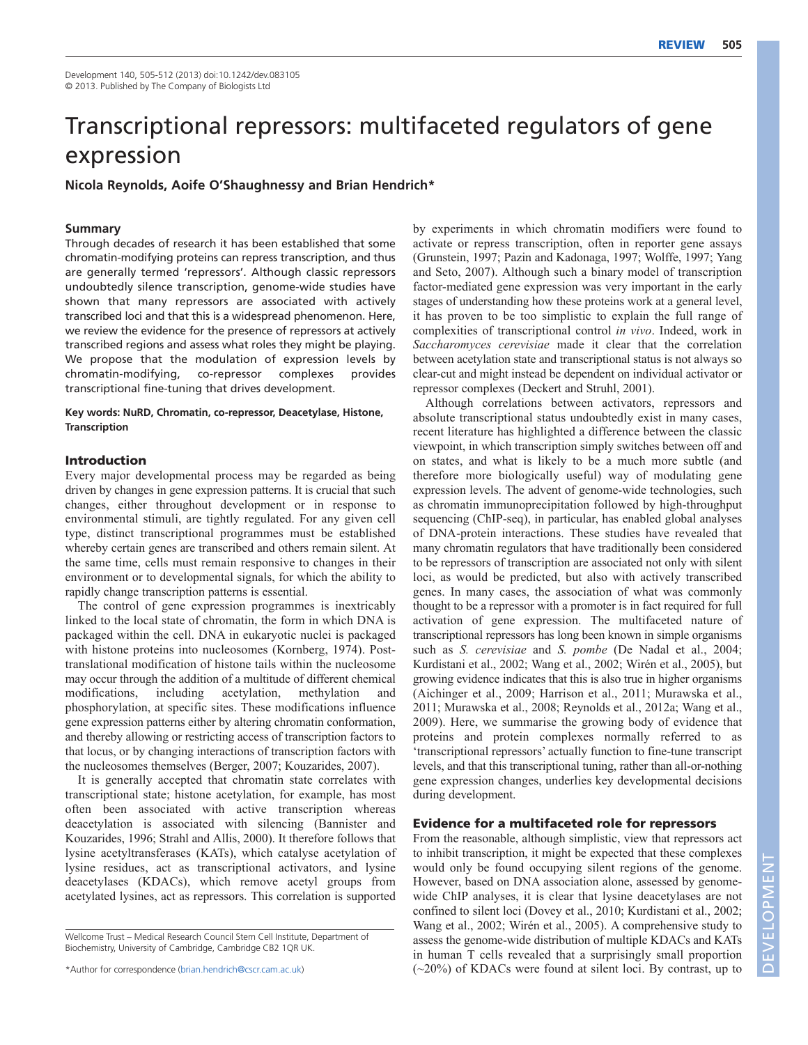# Transcriptional repressors: multifaceted regulators of gene expression

**Nicola Reynolds, Aoife O'Shaughnessy and Brian Hendrich\***

#### **Summary**

Through decades of research it has been established that some chromatin-modifying proteins can repress transcription, and thus are generally termed 'repressors'. Although classic repressors undoubtedly silence transcription, genome-wide studies have shown that many repressors are associated with actively transcribed loci and that this is a widespread phenomenon. Here, we review the evidence for the presence of repressors at actively transcribed regions and assess what roles they might be playing. We propose that the modulation of expression levels by chromatin-modifying, co-repressor complexes provides transcriptional fine-tuning that drives development.

## **Key words: NuRD, Chromatin, co-repressor, Deacetylase, Histone, Transcription**

## **Introduction**

Every major developmental process may be regarded as being driven by changes in gene expression patterns. It is crucial that such changes, either throughout development or in response to environmental stimuli, are tightly regulated. For any given cell type, distinct transcriptional programmes must be established whereby certain genes are transcribed and others remain silent. At the same time, cells must remain responsive to changes in their environment or to developmental signals, for which the ability to rapidly change transcription patterns is essential.

The control of gene expression programmes is inextricably linked to the local state of chromatin, the form in which DNA is packaged within the cell. DNA in eukaryotic nuclei is packaged with histone proteins into nucleosomes (Kornberg, 1974). Posttranslational modification of histone tails within the nucleosome may occur through the addition of a multitude of different chemical modifications, including acetylation, methylation and phosphorylation, at specific sites. These modifications influence gene expression patterns either by altering chromatin conformation, and thereby allowing or restricting access of transcription factors to that locus, or by changing interactions of transcription factors with the nucleosomes themselves (Berger, 2007; Kouzarides, 2007).

It is generally accepted that chromatin state correlates with transcriptional state; histone acetylation, for example, has most often been associated with active transcription whereas deacetylation is associated with silencing (Bannister and Kouzarides, 1996; Strahl and Allis, 2000). It therefore follows that lysine acetyltransferases (KATs), which catalyse acetylation of lysine residues, act as transcriptional activators, and lysine deacetylases (KDACs), which remove acetyl groups from acetylated lysines, act as repressors. This correlation is supported

by experiments in which chromatin modifiers were found to activate or repress transcription, often in reporter gene assays (Grunstein, 1997; Pazin and Kadonaga, 1997; Wolffe, 1997; Yang and Seto, 2007). Although such a binary model of transcription factor-mediated gene expression was very important in the early stages of understanding how these proteins work at a general level, it has proven to be too simplistic to explain the full range of complexities of transcriptional control *in vivo*. Indeed, work in *Saccharomyces cerevisiae* made it clear that the correlation between acetylation state and transcriptional status is not always so clear-cut and might instead be dependent on individual activator or repressor complexes (Deckert and Struhl, 2001).

Although correlations between activators, repressors and absolute transcriptional status undoubtedly exist in many cases, recent literature has highlighted a difference between the classic viewpoint, in which transcription simply switches between off and on states, and what is likely to be a much more subtle (and therefore more biologically useful) way of modulating gene expression levels. The advent of genome-wide technologies, such as chromatin immunoprecipitation followed by high-throughput sequencing (ChIP-seq), in particular, has enabled global analyses of DNA-protein interactions. These studies have revealed that many chromatin regulators that have traditionally been considered to be repressors of transcription are associated not only with silent loci, as would be predicted, but also with actively transcribed genes. In many cases, the association of what was commonly thought to be a repressor with a promoter is in fact required for full activation of gene expression. The multifaceted nature of transcriptional repressors has long been known in simple organisms such as *S. cerevisiae* and *S. pombe* (De Nadal et al., 2004; Kurdistani et al., 2002; Wang et al., 2002; Wirén et al., 2005), but growing evidence indicates that this is also true in higher organisms (Aichinger et al., 2009; Harrison et al., 2011; Murawska et al., 2011; Murawska et al., 2008; Reynolds et al., 2012a; Wang et al., 2009). Here, we summarise the growing body of evidence that proteins and protein complexes normally referred to as 'transcriptional repressors' actually function to fine-tune transcript levels, and that this transcriptional tuning, rather than all-or-nothing gene expression changes, underlies key developmental decisions during development.

## **Evidence for a multifaceted role for repressors**

From the reasonable, although simplistic, view that repressors act to inhibit transcription, it might be expected that these complexes would only be found occupying silent regions of the genome. However, based on DNA association alone, assessed by genomewide ChIP analyses, it is clear that lysine deacetylases are not confined to silent loci (Dovey et al., 2010; Kurdistani et al., 2002; Wang et al., 2002; Wirén et al., 2005). A comprehensive study to assess the genome-wide distribution of multiple KDACs and KATs in human T cells revealed that a surprisingly small proportion (~20%) of KDACs were found at silent loci. By contrast, up to

Wellcome Trust – Medical Research Council Stem Cell Institute, Department of Biochemistry, University of Cambridge, Cambridge CB2 1QR UK.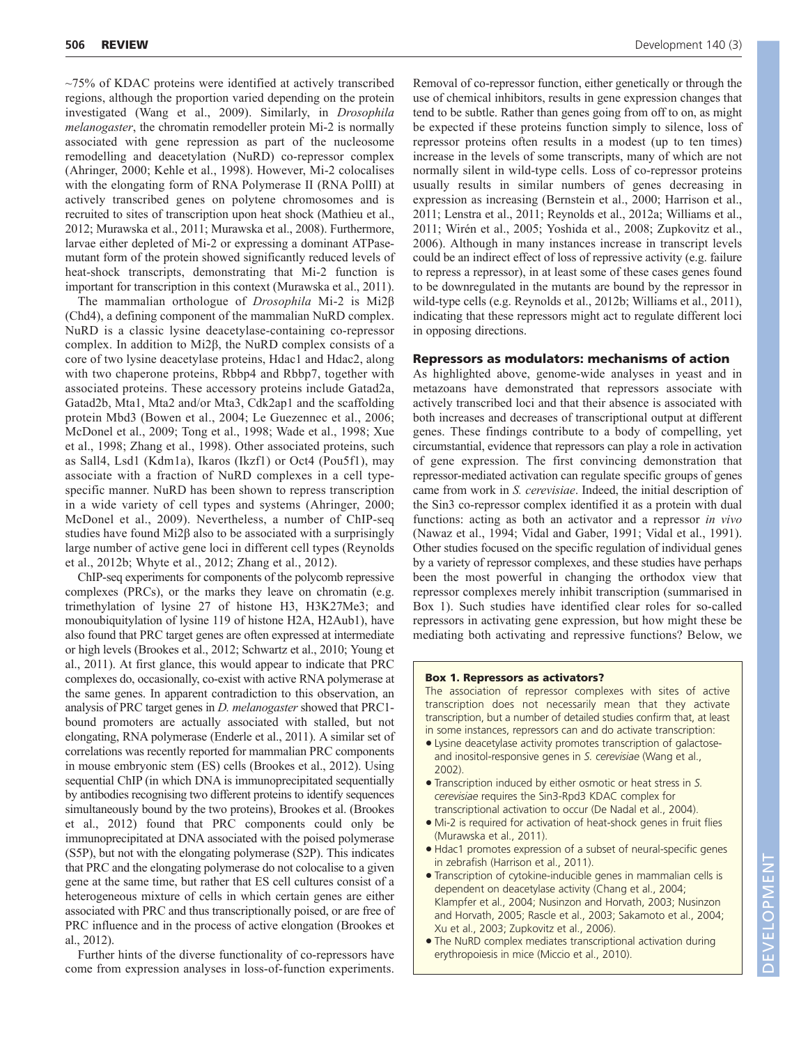$\sim$ 75% of KDAC proteins were identified at actively transcribed regions, although the proportion varied depending on the protein investigated (Wang et al., 2009). Similarly, in *Drosophila melanogaster*, the chromatin remodeller protein Mi-2 is normally associated with gene repression as part of the nucleosome remodelling and deacetylation (NuRD) co-repressor complex (Ahringer, 2000; Kehle et al., 1998). However, Mi-2 colocalises with the elongating form of RNA Polymerase II (RNA PolII) at actively transcribed genes on polytene chromosomes and is recruited to sites of transcription upon heat shock (Mathieu et al., 2012; Murawska et al., 2011; Murawska et al., 2008). Furthermore, larvae either depleted of Mi-2 or expressing a dominant ATPasemutant form of the protein showed significantly reduced levels of heat-shock transcripts, demonstrating that Mi-2 function is important for transcription in this context (Murawska et al., 2011).

The mammalian orthologue of *Drosophila* Mi-2 is Mi2β (Chd4), a defining component of the mammalian NuRD complex. NuRD is a classic lysine deacetylase-containing co-repressor complex. In addition to Mi2β, the NuRD complex consists of a core of two lysine deacetylase proteins, Hdac1 and Hdac2, along with two chaperone proteins, Rbbp4 and Rbbp7, together with associated proteins. These accessory proteins include Gatad2a, Gatad2b, Mta1, Mta2 and/or Mta3, Cdk2ap1 and the scaffolding protein Mbd3 (Bowen et al., 2004; Le Guezennec et al., 2006; McDonel et al., 2009; Tong et al., 1998; Wade et al., 1998; Xue et al., 1998; Zhang et al., 1998). Other associated proteins, such as Sall4, Lsd1 (Kdm1a), Ikaros (Ikzf1) or Oct4 (Pou5f1), may associate with a fraction of NuRD complexes in a cell typespecific manner. NuRD has been shown to repress transcription in a wide variety of cell types and systems (Ahringer, 2000; McDonel et al., 2009). Nevertheless, a number of ChIP-seq studies have found Mi2β also to be associated with a surprisingly large number of active gene loci in different cell types (Reynolds et al., 2012b; Whyte et al., 2012; Zhang et al., 2012).

ChIP-seq experiments for components of the polycomb repressive complexes (PRCs), or the marks they leave on chromatin (e.g. trimethylation of lysine 27 of histone H3, H3K27Me3; and monoubiquitylation of lysine 119 of histone H2A, H2Aub1), have also found that PRC target genes are often expressed at intermediate or high levels (Brookes et al., 2012; Schwartz et al., 2010; Young et al., 2011). At first glance, this would appear to indicate that PRC complexes do, occasionally, co-exist with active RNA polymerase at the same genes. In apparent contradiction to this observation, an analysis of PRC target genes in *D. melanogaster* showed that PRC1 bound promoters are actually associated with stalled, but not elongating, RNA polymerase (Enderle et al., 2011). A similar set of correlations was recently reported for mammalian PRC components in mouse embryonic stem (ES) cells (Brookes et al., 2012). Using sequential ChIP (in which DNA is immunoprecipitated sequentially by antibodies recognising two different proteins to identify sequences simultaneously bound by the two proteins), Brookes et al. (Brookes et al., 2012) found that PRC components could only be immunoprecipitated at DNA associated with the poised polymerase (S5P), but not with the elongating polymerase (S2P). This indicates that PRC and the elongating polymerase do not colocalise to a given gene at the same time, but rather that ES cell cultures consist of a heterogeneous mixture of cells in which certain genes are either associated with PRC and thus transcriptionally poised, or are free of PRC influence and in the process of active elongation (Brookes et al. 2012).

Further hints of the diverse functionality of co-repressors have come from expression analyses in loss-of-function experiments.

Removal of co-repressor function, either genetically or through the use of chemical inhibitors, results in gene expression changes that tend to be subtle. Rather than genes going from off to on, as might be expected if these proteins function simply to silence, loss of repressor proteins often results in a modest (up to ten times) increase in the levels of some transcripts, many of which are not normally silent in wild-type cells. Loss of co-repressor proteins usually results in similar numbers of genes decreasing in expression as increasing (Bernstein et al., 2000; Harrison et al., 2011; Lenstra et al., 2011; Reynolds et al., 2012a; Williams et al., 2011; Wirén et al., 2005; Yoshida et al., 2008; Zupkovitz et al., 2006). Although in many instances increase in transcript levels could be an indirect effect of loss of repressive activity (e.g. failure to repress a repressor), in at least some of these cases genes found to be downregulated in the mutants are bound by the repressor in wild-type cells (e.g. Reynolds et al., 2012b; Williams et al., 2011), indicating that these repressors might act to regulate different loci in opposing directions.

## **Repressors as modulators: mechanisms of action**

As highlighted above, genome-wide analyses in yeast and in metazoans have demonstrated that repressors associate with actively transcribed loci and that their absence is associated with both increases and decreases of transcriptional output at different genes. These findings contribute to a body of compelling, yet circumstantial, evidence that repressors can play a role in activation of gene expression. The first convincing demonstration that repressor-mediated activation can regulate specific groups of genes came from work in *S. cerevisiae*. Indeed, the initial description of the Sin3 co-repressor complex identified it as a protein with dual functions: acting as both an activator and a repressor *in vivo* (Nawaz et al., 1994; Vidal and Gaber, 1991; Vidal et al., 1991). Other studies focused on the specific regulation of individual genes by a variety of repressor complexes, and these studies have perhaps been the most powerful in changing the orthodox view that repressor complexes merely inhibit transcription (summarised in Box 1). Such studies have identified clear roles for so-called repressors in activating gene expression, but how might these be mediating both activating and repressive functions? Below, we

#### **Box 1. Repressors as activators?**

The association of repressor complexes with sites of active transcription does not necessarily mean that they activate transcription, but a number of detailed studies confirm that, at least in some instances, repressors can and do activate transcription:

- Lysine deacetylase activity promotes transcription of galactoseand inositol-responsive genes in *S. cerevisiae* (Wang et al., 2002).
- Transcription induced by either osmotic or heat stress in *S. cerevisiae* requires the Sin3-Rpd3 KDAC complex for transcriptional activation to occur (De Nadal et al., 2004).
- Mi-2 is required for activation of heat-shock genes in fruit flies (Murawska et al., 2011).
- Hdac1 promotes expression of a subset of neural-specific genes in zebrafish (Harrison et al., 2011).
- Transcription of cytokine-inducible genes in mammalian cells is dependent on deacetylase activity (Chang et al., 2004; Klampfer et al., 2004; Nusinzon and Horvath, 2003; Nusinzon and Horvath, 2005; Rascle et al., 2003; Sakamoto et al., 2004; Xu et al., 2003; Zupkovitz et al., 2006).
- The NuRD complex mediates transcriptional activation during erythropoiesis in mice (Miccio et al., 2010).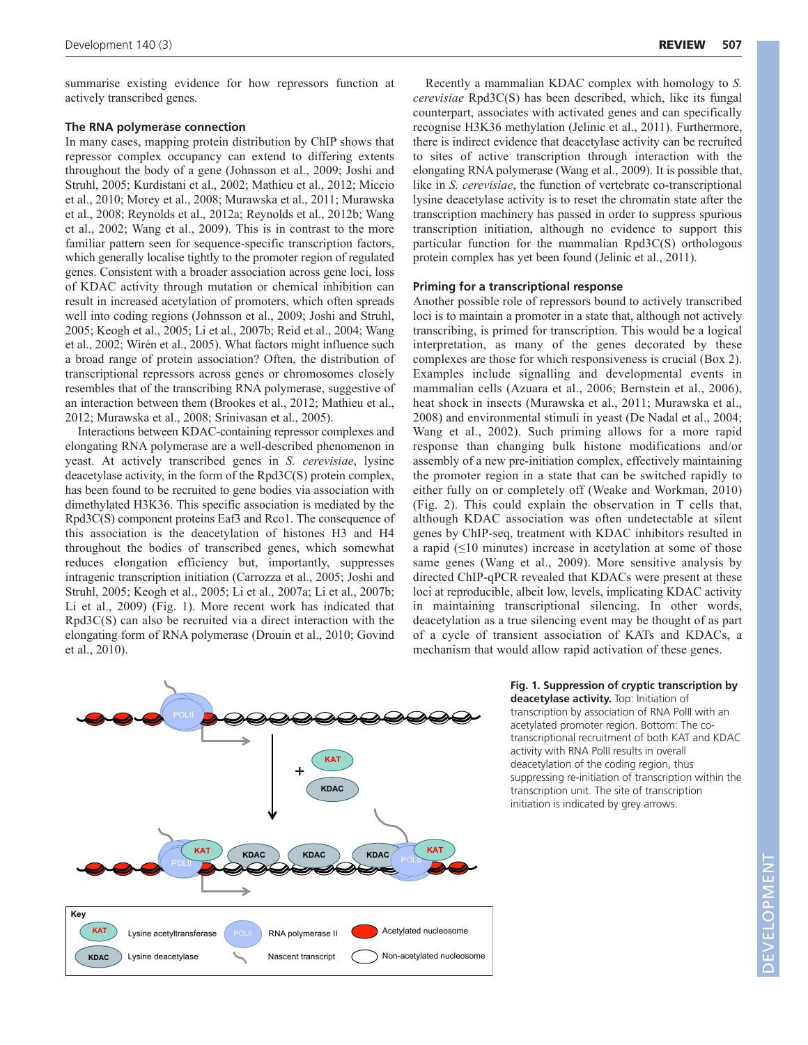summarise existing evidence for how repressors function at actively transcribed genes.

## **The RNA polymerase connection**

In many cases, mapping protein distribution by ChIP shows that repressor complex occupancy can extend to differing extents throughout the body of a gene (Johnsson et al., 2009; Joshi and Struhl, 2005; Kurdistani et al., 2002; Mathieu et al., 2012; Miccio et al., 2010; Morey et al., 2008; Murawska et al., 2011; Murawska et al., 2008; Reynolds et al., 2012a; Reynolds et al., 2012b; Wang et al., 2002; Wang et al., 2009). This is in contrast to the more familiar pattern seen for sequence-specific transcription factors, which generally localise tightly to the promoter region of regulated genes. Consistent with a broader association across gene loci, loss of KDAC activity through mutation or chemical inhibition can result in increased acetylation of promoters, which often spreads well into coding regions (Johnsson et al., 2009; Joshi and Struhl, 2005; Keogh et al., 2005; Li et al., 2007b; Reid et al., 2004; Wang et al., 2002; Wirén et al., 2005). What factors might influence such a broad range of protein association? Often, the distribution of transcriptional repressors across genes or chromosomes closely resembles that of the transcribing RNA polymerase, suggestive of an interaction between them (Brookes et al., 2012; Mathieu et al., 2012; Murawska et al., 2008; Srinivasan et al., 2005).

Interactions between KDAC-containing repressor complexes and elongating RNA polymerase are a well-described phenomenon in yeast. At actively transcribed genes in *S. cerevisiae*, lysine deacetylase activity, in the form of the Rpd3C(S) protein complex, has been found to be recruited to gene bodies via association with dimethylated H3K36. This specific association is mediated by the Rpd3C(S) component proteins Eaf3 and Rco1. The consequence of this association is the deacetylation of histones H3 and H4 throughout the bodies of transcribed genes, which somewhat reduces elongation efficiency but, importantly, suppresses intragenic transcription initiation (Carrozza et al., 2005; Joshi and Struhl, 2005; Keogh et al., 2005; Li et al., 2007a; Li et al., 2007b; Li et al., 2009) (Fig. 1). More recent work has indicated that Rpd3C(S) can also be recruited via a direct interaction with the elongating form of RNA polymerase (Drouin et al., 2010; Govind et al., 2010).



## **Priming for a transcriptional response**

Another possible role of repressors bound to actively transcribed loci is to maintain a promoter in a state that, although not actively transcribing, is primed for transcription. This would be a logical interpretation, as many of the genes decorated by these complexes are those for which responsiveness is crucial (Box 2). Examples include signalling and developmental events in mammalian cells (Azuara et al., 2006; Bernstein et al., 2006), heat shock in insects (Murawska et al., 2011; Murawska et al., 2008) and environmental stimuli in yeast (De Nadal et al., 2004; Wang et al., 2002). Such priming allows for a more rapid response than changing bulk histone modifications and/or assembly of a new pre-initiation complex, effectively maintaining the promoter region in a state that can be switched rapidly to either fully on or completely off (Weake and Workman, 2010) (Fig. 2). This could explain the observation in T cells that, although KDAC association was often undetectable at silent genes by ChIP-seq, treatment with KDAC inhibitors resulted in a rapid  $(\leq 10$  minutes) increase in acetylation at some of those same genes (Wang et al., 2009). More sensitive analysis by directed ChIP-qPCR revealed that KDACs were present at these loci at reproducible, albeit low, levels, implicating KDAC activity in maintaining transcriptional silencing. In other words, deacetylation as a true silencing event may be thought of as part of a cycle of transient association of KATs and KDACs, a mechanism that would allow rapid activation of these genes.



# **Fig. 1. Suppression of cryptic transcription by**

**deacetylase activity.** Top: Initiation of transcription by association of RNA PolII with an acetylated promoter region. Bottom: The cotranscriptional recruitment of both KAT and KDAC activity with RNA PolII results in overall deacetylation of the coding region, thus suppressing re-initiation of transcription within the transcription unit. The site of transcription initiation is indicated by grey arrows.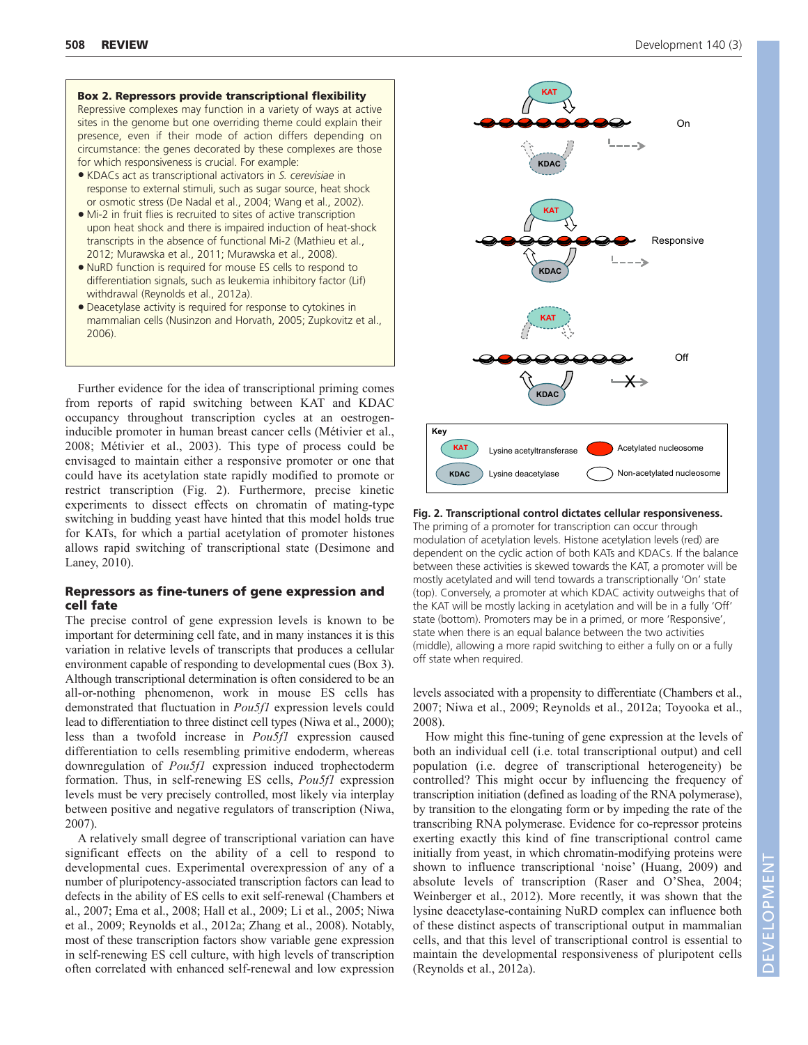

- upon heat shock and there is impaired induction of heat-shock transcripts in the absence of functional Mi-2 (Mathieu et al., 2012; Murawska et al., 2011; Murawska et al., 2008).
- NuRD function is required for mouse ES cells to respond to differentiation signals, such as leukemia inhibitory factor (Lif) withdrawal (Reynolds et al., 2012a).
- Deacetylase activity is required for response to cytokines in mammalian cells (Nusinzon and Horvath, 2005; Zupkovitz et al., 2006).

Further evidence for the idea of transcriptional priming comes from reports of rapid switching between KAT and KDAC occupancy throughout transcription cycles at an oestrogeninducible promoter in human breast cancer cells (Métivier et al., 2008; Métivier et al., 2003). This type of process could be envisaged to maintain either a responsive promoter or one that could have its acetylation state rapidly modified to promote or restrict transcription (Fig. 2). Furthermore, precise kinetic experiments to dissect effects on chromatin of mating-type switching in budding yeast have hinted that this model holds true for KATs, for which a partial acetylation of promoter histones allows rapid switching of transcriptional state (Desimone and Laney, 2010).

## **Repressors as fine-tuners of gene expression and cell fate**

The precise control of gene expression levels is known to be important for determining cell fate, and in many instances it is this variation in relative levels of transcripts that produces a cellular environment capable of responding to developmental cues (Box 3). Although transcriptional determination is often considered to be an all-or-nothing phenomenon, work in mouse ES cells has demonstrated that fluctuation in *Pou5f1* expression levels could lead to differentiation to three distinct cell types (Niwa et al., 2000); less than a twofold increase in *Pou5f1* expression caused differentiation to cells resembling primitive endoderm, whereas downregulation of *Pou5f1* expression induced trophectoderm formation. Thus, in self-renewing ES cells, *Pou5f1* expression levels must be very precisely controlled, most likely via interplay between positive and negative regulators of transcription (Niwa, 2007).

A relatively small degree of transcriptional variation can have significant effects on the ability of a cell to respond to developmental cues. Experimental overexpression of any of a number of pluripotency-associated transcription factors can lead to defects in the ability of ES cells to exit self-renewal (Chambers et al., 2007; Ema et al., 2008; Hall et al., 2009; Li et al., 2005; Niwa et al., 2009; Reynolds et al., 2012a; Zhang et al., 2008). Notably, most of these transcription factors show variable gene expression in self-renewing ES cell culture, with high levels of transcription often correlated with enhanced self-renewal and low expression



#### **Fig. 2. Transcriptional control dictates cellular responsiveness.**

The priming of a promoter for transcription can occur through modulation of acetylation levels. Histone acetylation levels (red) are dependent on the cyclic action of both KATs and KDACs. If the balance between these activities is skewed towards the KAT, a promoter will be mostly acetylated and will tend towards a transcriptionally 'On' state (top). Conversely, a promoter at which KDAC activity outweighs that of the KAT will be mostly lacking in acetylation and will be in a fully 'Off' state (bottom). Promoters may be in a primed, or more 'Responsive', state when there is an equal balance between the two activities (middle), allowing a more rapid switching to either a fully on or a fully off state when required.

levels associated with a propensity to differentiate (Chambers et al., 2007; Niwa et al., 2009; Reynolds et al., 2012a; Toyooka et al., 2008).

How might this fine-tuning of gene expression at the levels of both an individual cell (i.e. total transcriptional output) and cell population (i.e. degree of transcriptional heterogeneity) be controlled? This might occur by influencing the frequency of transcription initiation (defined as loading of the RNA polymerase), by transition to the elongating form or by impeding the rate of the transcribing RNA polymerase. Evidence for co-repressor proteins exerting exactly this kind of fine transcriptional control came initially from yeast, in which chromatin-modifying proteins were shown to influence transcriptional 'noise' (Huang, 2009) and absolute levels of transcription (Raser and O'Shea, 2004; Weinberger et al., 2012). More recently, it was shown that the lysine deacetylase-containing NuRD complex can influence both of these distinct aspects of transcriptional output in mammalian cells, and that this level of transcriptional control is essential to maintain the developmental responsiveness of pluripotent cells (Reynolds et al., 2012a).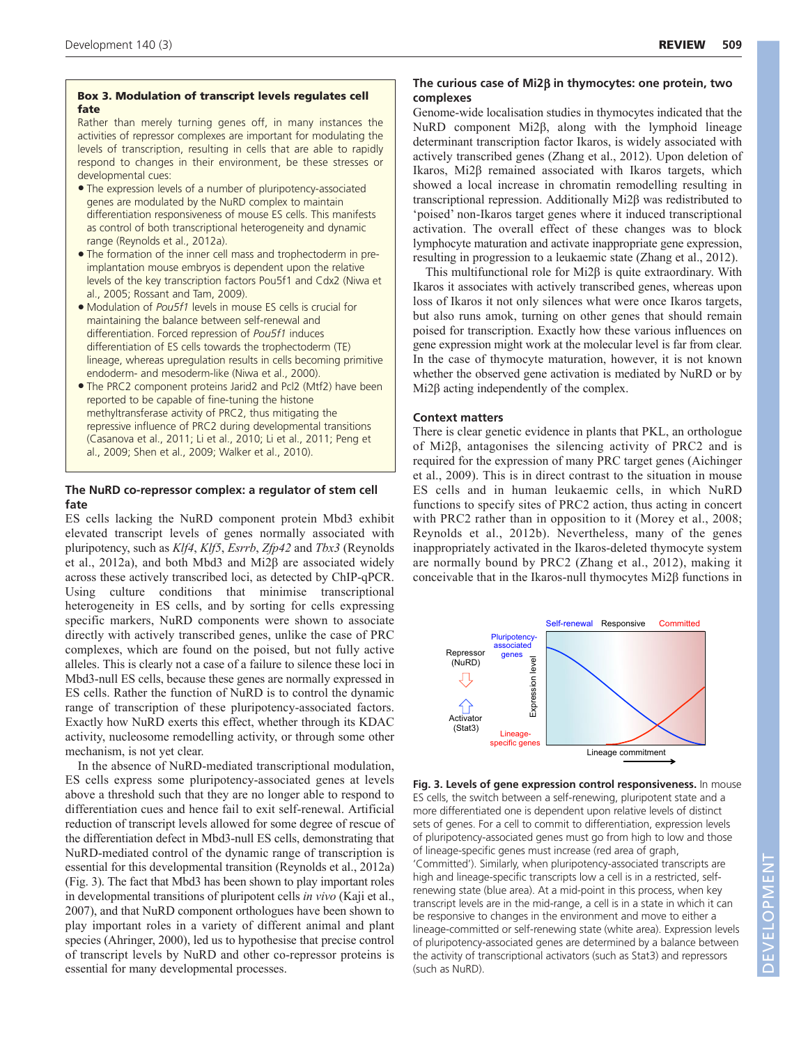## **Box 3. Modulation of transcript levels regulates cell fate**

Rather than merely turning genes off, in many instances the activities of repressor complexes are important for modulating the levels of transcription, resulting in cells that are able to rapidly respond to changes in their environment, be these stresses or developmental cues:

- The expression levels of a number of pluripotency-associated genes are modulated by the NuRD complex to maintain differentiation responsiveness of mouse ES cells. This manifests as control of both transcriptional heterogeneity and dynamic range (Reynolds et al., 2012a).
- The formation of the inner cell mass and trophectoderm in preimplantation mouse embryos is dependent upon the relative levels of the key transcription factors Pou5f1 and Cdx2 (Niwa et al., 2005; Rossant and Tam, 2009).
- Modulation of *Pou5f1* levels in mouse ES cells is crucial for maintaining the balance between self-renewal and differentiation. Forced repression of *Pou5f1* induces differentiation of ES cells towards the trophectoderm (TE) lineage, whereas upregulation results in cells becoming primitive endoderm- and mesoderm-like (Niwa et al., 2000).
- The PRC2 component proteins Jarid2 and Pcl2 (Mtf2) have been reported to be capable of fine-tuning the histone methyltransferase activity of PRC2, thus mitigating the repressive influence of PRC2 during developmental transitions (Casanova et al., 2011; Li et al., 2010; Li et al., 2011; Peng et al., 2009; Shen et al., 2009; Walker et al., 2010).

## **The NuRD co-repressor complex: a regulator of stem cell fate**

ES cells lacking the NuRD component protein Mbd3 exhibit elevated transcript levels of genes normally associated with pluripotency, such as *Klf4*, *Klf5*, *Esrrb*, *Zfp42* and *Tbx3* (Reynolds et al., 2012a), and both Mbd3 and Mi2β are associated widely across these actively transcribed loci, as detected by ChIP-qPCR. Using culture conditions that minimise transcriptional heterogeneity in ES cells, and by sorting for cells expressing specific markers, NuRD components were shown to associate directly with actively transcribed genes, unlike the case of PRC complexes, which are found on the poised, but not fully active alleles. This is clearly not a case of a failure to silence these loci in Mbd3-null ES cells, because these genes are normally expressed in ES cells. Rather the function of NuRD is to control the dynamic range of transcription of these pluripotency-associated factors. Exactly how NuRD exerts this effect, whether through its KDAC activity, nucleosome remodelling activity, or through some other mechanism, is not yet clear.

In the absence of NuRD-mediated transcriptional modulation, ES cells express some pluripotency-associated genes at levels above a threshold such that they are no longer able to respond to differentiation cues and hence fail to exit self-renewal. Artificial reduction of transcript levels allowed for some degree of rescue of the differentiation defect in Mbd3-null ES cells, demonstrating that NuRD-mediated control of the dynamic range of transcription is essential for this developmental transition (Reynolds et al., 2012a) (Fig. 3). The fact that Mbd3 has been shown to play important roles in developmental transitions of pluripotent cells *in vivo* (Kaji et al., 2007), and that NuRD component orthologues have been shown to play important roles in a variety of different animal and plant species (Ahringer, 2000), led us to hypothesise that precise control of transcript levels by NuRD and other co-repressor proteins is essential for many developmental processes.

# **The curious case of Mi2β in thymocytes: one protein, two complexes**

Genome-wide localisation studies in thymocytes indicated that the NuRD component Mi2β, along with the lymphoid lineage determinant transcription factor Ikaros, is widely associated with actively transcribed genes (Zhang et al., 2012). Upon deletion of Ikaros, Mi2β remained associated with Ikaros targets, which showed a local increase in chromatin remodelling resulting in transcriptional repression. Additionally Mi2β was redistributed to 'poised' non-Ikaros target genes where it induced transcriptional activation. The overall effect of these changes was to block lymphocyte maturation and activate inappropriate gene expression, resulting in progression to a leukaemic state (Zhang et al., 2012).

This multifunctional role for Mi2β is quite extraordinary. With Ikaros it associates with actively transcribed genes, whereas upon loss of Ikaros it not only silences what were once Ikaros targets, but also runs amok, turning on other genes that should remain poised for transcription. Exactly how these various influences on gene expression might work at the molecular level is far from clear. In the case of thymocyte maturation, however, it is not known whether the observed gene activation is mediated by NuRD or by Mi2β acting independently of the complex.

# **Context matters**

There is clear genetic evidence in plants that PKL, an orthologue of Mi2β, antagonises the silencing activity of PRC2 and is required for the expression of many PRC target genes (Aichinger et al., 2009). This is in direct contrast to the situation in mouse ES cells and in human leukaemic cells, in which NuRD functions to specify sites of PRC2 action, thus acting in concert with PRC2 rather than in opposition to it (Morey et al., 2008; Reynolds et al., 2012b). Nevertheless, many of the genes inappropriately activated in the Ikaros-deleted thymocyte system are normally bound by PRC2 (Zhang et al., 2012), making it conceivable that in the Ikaros-null thymocytes Mi2β functions in



**Fig. 3. Levels of gene expression control responsiveness.** In mouse ES cells, the switch between a self-renewing, pluripotent state and a more differentiated one is dependent upon relative levels of distinct sets of genes. For a cell to commit to differentiation, expression levels of pluripotency-associated genes must go from high to low and those of lineage-specific genes must increase (red area of graph, 'Committed'). Similarly, when pluripotency-associated transcripts are high and lineage-specific transcripts low a cell is in a restricted, selfrenewing state (blue area). At a mid-point in this process, when key transcript levels are in the mid-range, a cell is in a state in which it can be responsive to changes in the environment and move to either a lineage-committed or self-renewing state (white area). Expression levels of pluripotency-associated genes are determined by a balance between the activity of transcriptional activators (such as Stat3) and repressors (such as NuRD).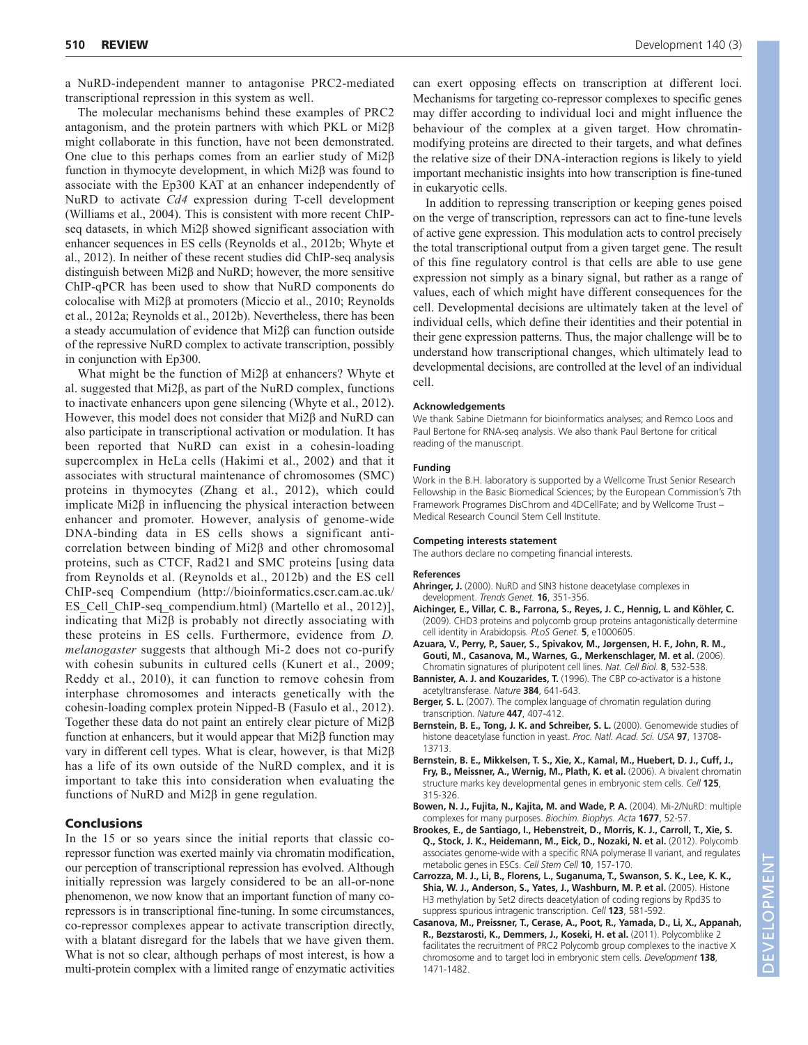a NuRD-independent manner to antagonise PRC2-mediated transcriptional repression in this system as well.

The molecular mechanisms behind these examples of PRC2 antagonism, and the protein partners with which PKL or Mi2β might collaborate in this function, have not been demonstrated. One clue to this perhaps comes from an earlier study of Mi2β function in thymocyte development, in which Mi2β was found to associate with the Ep300 KAT at an enhancer independently of NuRD to activate *Cd4* expression during T-cell development (Williams et al., 2004). This is consistent with more recent ChIPseq datasets, in which Mi2β showed significant association with enhancer sequences in ES cells (Reynolds et al., 2012b; Whyte et al., 2012). In neither of these recent studies did ChIP-seq analysis distinguish between Mi2β and NuRD; however, the more sensitive ChIP-qPCR has been used to show that NuRD components do colocalise with Mi2β at promoters (Miccio et al., 2010; Reynolds et al., 2012a; Reynolds et al., 2012b). Nevertheless, there has been a steady accumulation of evidence that Mi2β can function outside of the repressive NuRD complex to activate transcription, possibly in conjunction with Ep300.

What might be the function of Mi2β at enhancers? Whyte et al. suggested that Mi2β, as part of the NuRD complex, functions to inactivate enhancers upon gene silencing (Whyte et al., 2012). However, this model does not consider that Mi2β and NuRD can also participate in transcriptional activation or modulation. It has been reported that NuRD can exist in a cohesin-loading supercomplex in HeLa cells (Hakimi et al., 2002) and that it associates with structural maintenance of chromosomes (SMC) proteins in thymocytes (Zhang et al., 2012), which could implicate Mi2β in influencing the physical interaction between enhancer and promoter. However, analysis of genome-wide DNA-binding data in ES cells shows a significant anticorrelation between binding of Mi2β and other chromosomal proteins, such as CTCF, Rad21 and SMC proteins [using data from Reynolds et al. (Reynolds et al., 2012b) and the ES cell ChIP-seq Compendium (http://bioinformatics.cscr.cam.ac.uk/ ES Cell ChIP-seq compendium.html) (Martello et al., 2012)], indicating that Mi2β is probably not directly associating with these proteins in ES cells. Furthermore, evidence from *D. melanogaster* suggests that although Mi-2 does not co-purify with cohesin subunits in cultured cells (Kunert et al., 2009; Reddy et al., 2010), it can function to remove cohesin from interphase chromosomes and interacts genetically with the cohesin-loading complex protein Nipped-B (Fasulo et al., 2012). Together these data do not paint an entirely clear picture of Mi2 $\beta$ function at enhancers, but it would appear that  $Mi2\beta$  function may vary in different cell types. What is clear, however, is that Mi2β has a life of its own outside of the NuRD complex, and it is important to take this into consideration when evaluating the functions of NuRD and Mi2β in gene regulation.

#### **Conclusions**

In the 15 or so years since the initial reports that classic corepressor function was exerted mainly via chromatin modification, our perception of transcriptional repression has evolved. Although initially repression was largely considered to be an all-or-none phenomenon, we now know that an important function of many corepressors is in transcriptional fine-tuning. In some circumstances, co-repressor complexes appear to activate transcription directly, with a blatant disregard for the labels that we have given them. What is not so clear, although perhaps of most interest, is how a multi-protein complex with a limited range of enzymatic activities can exert opposing effects on transcription at different loci. Mechanisms for targeting co-repressor complexes to specific genes may differ according to individual loci and might influence the behaviour of the complex at a given target. How chromatinmodifying proteins are directed to their targets, and what defines the relative size of their DNA-interaction regions is likely to yield important mechanistic insights into how transcription is fine-tuned in eukaryotic cells.

In addition to repressing transcription or keeping genes poised on the verge of transcription, repressors can act to fine-tune levels of active gene expression. This modulation acts to control precisely the total transcriptional output from a given target gene. The result of this fine regulatory control is that cells are able to use gene expression not simply as a binary signal, but rather as a range of values, each of which might have different consequences for the cell. Developmental decisions are ultimately taken at the level of individual cells, which define their identities and their potential in their gene expression patterns. Thus, the major challenge will be to understand how transcriptional changes, which ultimately lead to developmental decisions, are controlled at the level of an individual cell.

## **Acknowledgements**

We thank Sabine Dietmann for bioinformatics analyses; and Remco Loos and Paul Bertone for RNA-seq analysis. We also thank Paul Bertone for critical reading of the manuscript.

#### **Funding**

Work in the B.H. laboratory is supported by a Wellcome Trust Senior Research Fellowship in the Basic Biomedical Sciences; by the European Commission's 7th Framework Programes DisChrom and 4DCellFate; and by Wellcome Trust – Medical Research Council Stem Cell Institute.

#### **Competing interests statement**

The authors declare no competing financial interests.

#### **References**

- **Ahringer, J.** (2000). NuRD and SIN3 histone deacetylase complexes in development. *Trends Genet.* **16**, 351-356.
- **Aichinger, E., Villar, C. B., Farrona, S., Reyes, J. C., Hennig, L. and Köhler, C.** (2009). CHD3 proteins and polycomb group proteins antagonistically determine cell identity in Arabidopsis*. PLoS Genet.* **5**, e1000605.
- **Azuara, V., Perry, P., Sauer, S., Spivakov, M., Jørgensen, H. F., John, R. M., Gouti, M., Casanova, M., Warnes, G., Merkenschlager, M. et al.** (2006). Chromatin signatures of pluripotent cell lines. *Nat. Cell Biol.* **8**, 532-538.
- **Bannister, A. J. and Kouzarides, T.** (1996). The CBP co-activator is a histone acetyltransferase. *Nature* **384**, 641-643.
- **Berger, S. L.** (2007). The complex language of chromatin regulation during transcription. *Nature* **447**, 407-412.
- **Bernstein, B. E., Tong, J. K. and Schreiber, S. L.** (2000). Genomewide studies of histone deacetylase function in yeast. *Proc. Natl. Acad. Sci. USA* **97**, 13708- 13713.
- **Bernstein, B. E., Mikkelsen, T. S., Xie, X., Kamal, M., Huebert, D. J., Cuff, J., Fry, B., Meissner, A., Wernig, M., Plath, K. et al.** (2006). A bivalent chromatin structure marks key developmental genes in embryonic stem cells. *Cell* **125**, 315-326.
- **Bowen, N. J., Fujita, N., Kajita, M. and Wade, P. A.** (2004). Mi-2/NuRD: multiple complexes for many purposes. *Biochim. Biophys. Acta* **1677**, 52-57.
- **Brookes, E., de Santiago, I., Hebenstreit, D., Morris, K. J., Carroll, T., Xie, S. Q., Stock, J. K., Heidemann, M., Eick, D., Nozaki, N. et al.** (2012). Polycomb associates genome-wide with a specific RNA polymerase II variant, and regulates metabolic genes in ESCs. *Cell Stem Cell* **10**, 157-170.
- **Carrozza, M. J., Li, B., Florens, L., Suganuma, T., Swanson, S. K., Lee, K. K., Shia, W. J., Anderson, S., Yates, J., Washburn, M. P. et al.** (2005). Histone H3 methylation by Set2 directs deacetylation of coding regions by Rpd3S to suppress spurious intragenic transcription. *Cell* **123**, 581-592.
- **Casanova, M., Preissner, T., Cerase, A., Poot, R., Yamada, D., Li, X., Appanah, R., Bezstarosti, K., Demmers, J., Koseki, H. et al.** (2011). Polycomblike 2 facilitates the recruitment of PRC2 Polycomb group complexes to the inactive X chromosome and to target loci in embryonic stem cells. *Development* **138**, 1471-1482.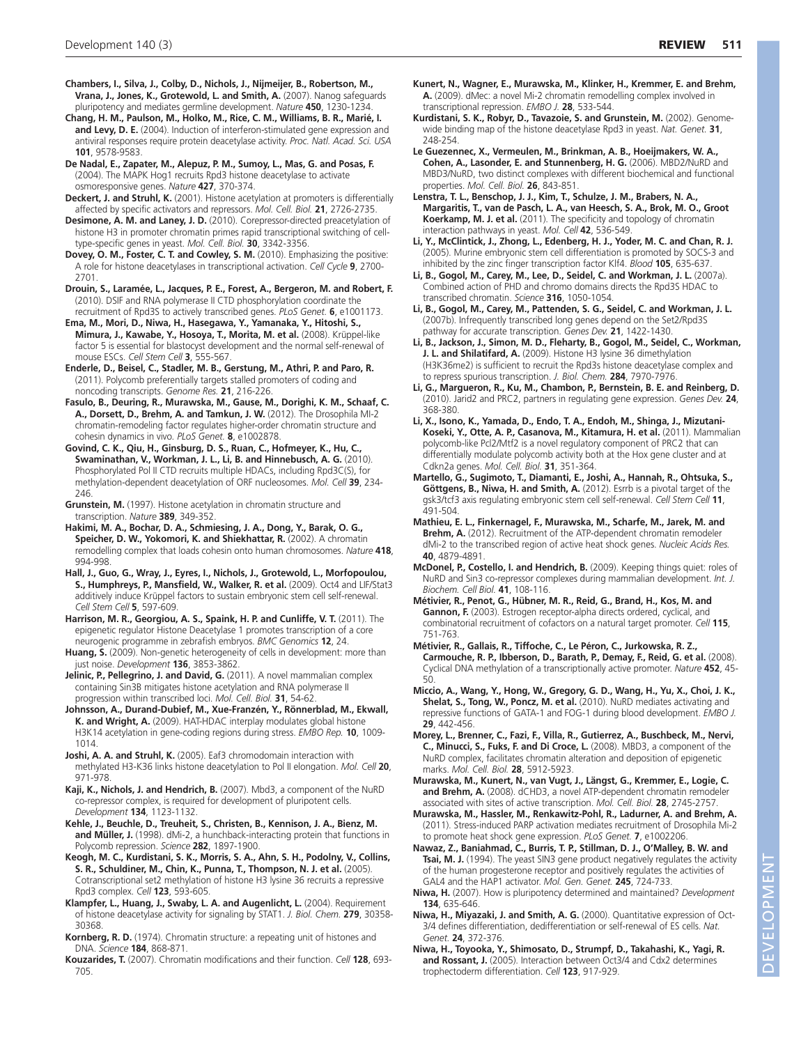**Chambers, I., Silva, J., Colby, D., Nichols, J., Nijmeijer, B., Robertson, M., Vrana, J., Jones, K., Grotewold, L. and Smith, A.** (2007). Nanog safeguards pluripotency and mediates germline development. *Nature* **450**, 1230-1234.

**Chang, H. M., Paulson, M., Holko, M., Rice, C. M., Williams, B. R., Marié, I. and Levy, D. E.** (2004). Induction of interferon-stimulated gene expression and antiviral responses require protein deacetylase activity. *Proc. Natl. Acad. Sci. USA* **101**, 9578-9583.

**De Nadal, E., Zapater, M., Alepuz, P. M., Sumoy, L., Mas, G. and Posas, F.** (2004). The MAPK Hog1 recruits Rpd3 histone deacetylase to activate osmoresponsive genes. *Nature* **427**, 370-374.

- **Deckert, J. and Struhl, K.** (2001). Histone acetylation at promoters is differentially affected by specific activators and repressors. *Mol. Cell. Biol.* **21**, 2726-2735.
- **Desimone, A. M. and Laney, J. D.** (2010). Corepressor-directed preacetylation of histone H3 in promoter chromatin primes rapid transcriptional switching of celltype-specific genes in yeast. *Mol. Cell. Biol.* **30**, 3342-3356.
- **Dovey, O. M., Foster, C. T. and Cowley, S. M.** (2010). Emphasizing the positive: A role for histone deacetylases in transcriptional activation. *Cell Cycle* **9**, 2700- 2701.
- **Drouin, S., Laramée, L., Jacques, P. E., Forest, A., Bergeron, M. and Robert, F.** (2010). DSIF and RNA polymerase II CTD phosphorylation coordinate the recruitment of Rpd3S to actively transcribed genes. *PLoS Genet.* **6**, e1001173.
- **Ema, M., Mori, D., Niwa, H., Hasegawa, Y., Yamanaka, Y., Hitoshi, S., Mimura, J., Kawabe, Y., Hosoya, T., Morita, M. et al.** (2008). Krüppel-like factor 5 is essential for blastocyst development and the normal self-renewal of mouse ESCs. *Cell Stem Cell* **3**, 555-567.
- **Enderle, D., Beisel, C., Stadler, M. B., Gerstung, M., Athri, P. and Paro, R.** (2011). Polycomb preferentially targets stalled promoters of coding and noncoding transcripts. *Genome Res.* **21**, 216-226.
- **Fasulo, B., Deuring, R., Murawska, M., Gause, M., Dorighi, K. M., Schaaf, C. A., Dorsett, D., Brehm, A. and Tamkun, J. W.** (2012). The Drosophila MI-2 chromatin-remodeling factor regulates higher-order chromatin structure and cohesin dynamics in vivo*. PLoS Genet.* **8**, e1002878.
- **Govind, C. K., Qiu, H., Ginsburg, D. S., Ruan, C., Hofmeyer, K., Hu, C., Swaminathan, V., Workman, J. L., Li, B. and Hinnebusch, A. G.** (2010). Phosphorylated Pol II CTD recruits multiple HDACs, including Rpd3C(S), for methylation-dependent deacetylation of ORF nucleosomes. *Mol. Cell* **39**, 234- 246.
- **Grunstein, M.** (1997). Histone acetylation in chromatin structure and transcription. *Nature* **389**, 349-352.
- **Hakimi, M. A., Bochar, D. A., Schmiesing, J. A., Dong, Y., Barak, O. G., Speicher, D. W., Yokomori, K. and Shiekhattar, R.** (2002). A chromatin remodelling complex that loads cohesin onto human chromosomes. *Nature* **418**, 994-998.
- **Hall, J., Guo, G., Wray, J., Eyres, I., Nichols, J., Grotewold, L., Morfopoulou, S., Humphreys, P., Mansfield, W., Walker, R. et al.** (2009). Oct4 and LIF/Stat3 additively induce Krüppel factors to sustain embryonic stem cell self-renewal. *Cell Stem Cell* **5**, 597-609.
- **Harrison, M. R., Georgiou, A. S., Spaink, H. P. and Cunliffe, V. T.** (2011). The epigenetic regulator Histone Deacetylase 1 promotes transcription of a core neurogenic programme in zebrafish embryos. *BMC Genomics* **12**, 24.
- **Huang, S.** (2009). Non-genetic heterogeneity of cells in development: more than just noise. *Development* **136**, 3853-3862.
- **Jelinic, P., Pellegrino, J. and David, G.** (2011). A novel mammalian complex containing Sin3B mitigates histone acetylation and RNA polymerase II progression within transcribed loci. *Mol. Cell. Biol.* **31**, 54-62.
- **Johnsson, A., Durand-Dubief, M., Xue-Franzén, Y., Rönnerblad, M., Ekwall, K. and Wright, A.** (2009). HAT-HDAC interplay modulates global histone H3K14 acetylation in gene-coding regions during stress. *EMBO Rep.* **10**, 1009- 1014.

**Joshi, A. A. and Struhl, K.** (2005). Eaf3 chromodomain interaction with methylated H3-K36 links histone deacetylation to Pol II elongation. *Mol. Cell* **20**, 971-978.

**Kaji, K., Nichols, J. and Hendrich, B.** (2007). Mbd3, a component of the NuRD co-repressor complex, is required for development of pluripotent cells. *Development* **134**, 1123-1132.

- **Kehle, J., Beuchle, D., Treuheit, S., Christen, B., Kennison, J. A., Bienz, M. and Müller, J.** (1998). dMi-2, a hunchback-interacting protein that functions in Polycomb repression. *Science* **282**, 1897-1900.
- **Keogh, M. C., Kurdistani, S. K., Morris, S. A., Ahn, S. H., Podolny, V., Collins, S. R., Schuldiner, M., Chin, K., Punna, T., Thompson, N. J. et al.** (2005). Cotranscriptional set2 methylation of histone H3 lysine 36 recruits a repressive Rpd3 complex. *Cell* **123**, 593-605.
- **Klampfer, L., Huang, J., Swaby, L. A. and Augenlicht, L.** (2004). Requirement of histone deacetylase activity for signaling by STAT1. *J. Biol. Chem.* **279**, 30358- 30368.

**Kornberg, R. D.** (1974). Chromatin structure: a repeating unit of histones and DNA. *Science* **184**, 868-871.

**Kouzarides, T.** (2007). Chromatin modifications and their function. *Cell* **128**, 693- 705.

- **Kunert, N., Wagner, E., Murawska, M., Klinker, H., Kremmer, E. and Brehm, A.** (2009). dMec: a novel Mi-2 chromatin remodelling complex involved in transcriptional repression. *EMBO J.* **28**, 533-544.
- **Kurdistani, S. K., Robyr, D., Tavazoie, S. and Grunstein, M.** (2002). Genomewide binding map of the histone deacetylase Rpd3 in yeast. *Nat. Genet.* **31**, 248-254.
- **Le Guezennec, X., Vermeulen, M., Brinkman, A. B., Hoeijmakers, W. A., Cohen, A., Lasonder, E. and Stunnenberg, H. G.** (2006). MBD2/NuRD and MBD3/NuRD, two distinct complexes with different biochemical and functional properties. *Mol. Cell. Biol.* **26**, 843-851.
- **Lenstra, T. L., Benschop, J. J., Kim, T., Schulze, J. M., Brabers, N. A., Margaritis, T., van de Pasch, L. A., van Heesch, S. A., Brok, M. O., Groot Koerkamp, M. J. et al.** (2011). The specificity and topology of chromatin interaction pathways in yeast. *Mol. Cell* **42**, 536-549.
- **Li, Y., McClintick, J., Zhong, L., Edenberg, H. J., Yoder, M. C. and Chan, R. J.** (2005). Murine embryonic stem cell differentiation is promoted by SOCS-3 and inhibited by the zinc finger transcription factor Klf4. *Blood* **105**, 635-637.
- **Li, B., Gogol, M., Carey, M., Lee, D., Seidel, C. and Workman, J. L.** (2007a). Combined action of PHD and chromo domains directs the Rpd3S HDAC to transcribed chromatin. *Science* **316**, 1050-1054.
- **Li, B., Gogol, M., Carey, M., Pattenden, S. G., Seidel, C. and Workman, J. L.** (2007b). Infrequently transcribed long genes depend on the Set2/Rpd3S pathway for accurate transcription. *Genes Dev.* **21**, 1422-1430.
- **Li, B., Jackson, J., Simon, M. D., Fleharty, B., Gogol, M., Seidel, C., Workman, J. L. and Shilatifard, A.** (2009). Histone H3 lysine 36 dimethylation (H3K36me2) is sufficient to recruit the Rpd3s histone deacetylase complex and to repress spurious transcription. *J. Biol. Chem.* **284**, 7970-7976.
- **Li, G., Margueron, R., Ku, M., Chambon, P., Bernstein, B. E. and Reinberg, D.** (2010). Jarid2 and PRC2, partners in regulating gene expression. *Genes Dev.* **24**, 368-380.
- **Li, X., Isono, K., Yamada, D., Endo, T. A., Endoh, M., Shinga, J., Mizutani-Koseki, Y., Otte, A. P., Casanova, M., Kitamura, H. et al.** (2011). Mammalian polycomb-like Pcl2/Mtf2 is a novel regulatory component of PRC2 that can differentially modulate polycomb activity both at the Hox gene cluster and at Cdkn2a genes. *Mol. Cell. Biol.* **31**, 351-364.
- **Martello, G., Sugimoto, T., Diamanti, E., Joshi, A., Hannah, R., Ohtsuka, S., Göttgens, B., Niwa, H. and Smith, A.** (2012). Esrrb is a pivotal target of the gsk3/tcf3 axis regulating embryonic stem cell self-renewal. *Cell Stem Cell* **11**, 491-504.
- **Mathieu, E. L., Finkernagel, F., Murawska, M., Scharfe, M., Jarek, M. and Brehm, A.** (2012). Recruitment of the ATP-dependent chromatin remodeler dMi-2 to the transcribed region of active heat shock genes. *Nucleic Acids Res.* **40**, 4879-4891.
- **McDonel, P., Costello, I. and Hendrich, B.** (2009). Keeping things quiet: roles of NuRD and Sin3 co-repressor complexes during mammalian development. *Int. J. Biochem. Cell Biol.* **41**, 108-116.
- **Métivier, R., Penot, G., Hübner, M. R., Reid, G., Brand, H., Kos, M. and Gannon, F.** (2003). Estrogen receptor-alpha directs ordered, cyclical, and combinatorial recruitment of cofactors on a natural target promoter. *Cell* **115**, 751-763.
- **Métivier, R., Gallais, R., Tiffoche, C., Le Péron, C., Jurkowska, R. Z., Carmouche, R. P., Ibberson, D., Barath, P., Demay, F., Reid, G. et al.** (2008). Cyclical DNA methylation of a transcriptionally active promoter. *Nature* **452**, 45- 50.
- **Miccio, A., Wang, Y., Hong, W., Gregory, G. D., Wang, H., Yu, X., Choi, J. K., Shelat, S., Tong, W., Poncz, M. et al.** (2010). NuRD mediates activating and repressive functions of GATA-1 and FOG-1 during blood development. *EMBO J.* **29**, 442-456.
- **Morey, L., Brenner, C., Fazi, F., Villa, R., Gutierrez, A., Buschbeck, M., Nervi, C., Minucci, S., Fuks, F. and Di Croce, L.** (2008). MBD3, a component of the NuRD complex, facilitates chromatin alteration and deposition of epigenetic marks. *Mol. Cell. Biol.* **28**, 5912-5923.
- **Murawska, M., Kunert, N., van Vugt, J., Längst, G., Kremmer, E., Logie, C. and Brehm, A.** (2008). dCHD3, a novel ATP-dependent chromatin remodeler associated with sites of active transcription. *Mol. Cell. Biol.* **28**, 2745-2757.
- **Murawska, M., Hassler, M., Renkawitz-Pohl, R., Ladurner, A. and Brehm, A.** (2011). Stress-induced PARP activation mediates recruitment of Drosophila Mi-2 to promote heat shock gene expression. *PLoS Genet.* **7**, e1002206.
- **Nawaz, Z., Baniahmad, C., Burris, T. P., Stillman, D. J., O'Malley, B. W. and Tsai, M. J.** (1994). The yeast SIN3 gene product negatively regulates the activity of the human progesterone receptor and positively regulates the activities of GAL4 and the HAP1 activator. *Mol. Gen. Genet.* **245**, 724-733.
- **Niwa, H.** (2007). How is pluripotency determined and maintained? *Development* **134**, 635-646.
- **Niwa, H., Miyazaki, J. and Smith, A. G.** (2000). Quantitative expression of Oct-3/4 defines differentiation, dedifferentiation or self-renewal of ES cells. *Nat. Genet.* **24**, 372-376.
- **Niwa, H., Toyooka, Y., Shimosato, D., Strumpf, D., Takahashi, K., Yagi, R.** and Rossant, J. (2005). Interaction between Oct3/4 and Cdx2 determines trophectoderm differentiation. *Cell* **123**, 917-929.